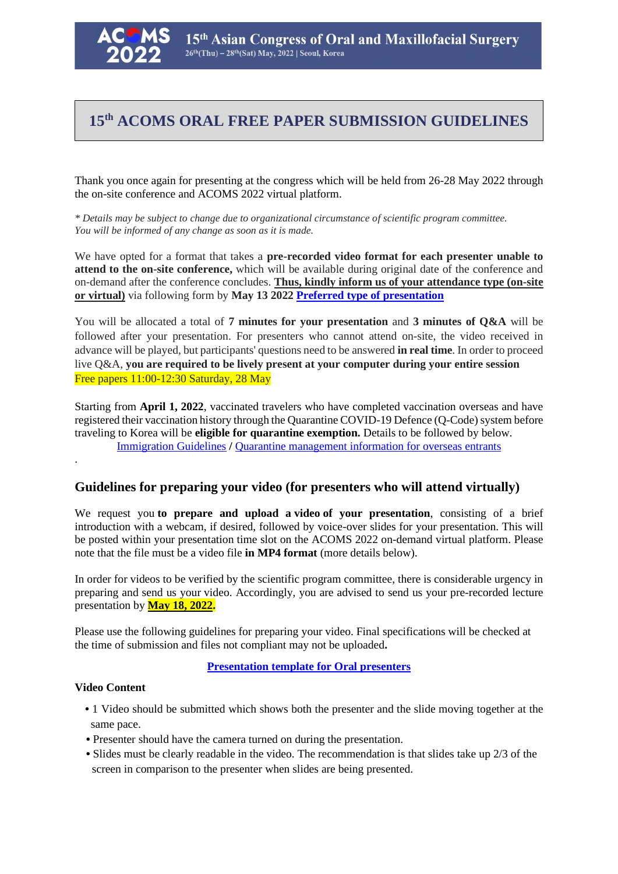

# **15th ACOMS ORAL FREE PAPER SUBMISSION GUIDELINES**

Thank you once again for presenting at the congress which will be held from 26-28 May 2022 through the on-site conference and ACOMS 2022 virtual platform.

*\* Details may be subject to change due to organizational circumstance of scientific program committee. You will be informed of any change as soon as it is made.*

We have opted for a format that takes a **pre-recorded video format for each presenter unable to attend to the on-site conference,** which will be available during original date of the conference and on-demand after the conference concludes. **Thus, kindly inform us of your attendance type (on-site or virtual)** via following form by **May 13 2022 Preferred type of presentation**

You will be allocated a total of **7 minutes for your presentation** and **3 minutes of Q&A** will be followed after your presentation. For presenters who cannot attend on-site, the video received in advance will be played, but participants' questions need to be answered **in real time**. In order to proceed live Q&A, **you are required to be lively present at your computer during your entire session** Free papers 11:00-12:30 Saturday, 28 May

Starting from **April 1, 2022**, vaccinated travelers who have completed vaccination overseas and have registered their vaccination history through the Quarantine COVID-19 Defence (Q-Code) system before traveling to Korea will be **eligible for quarantine exemption.** Details to be followed by below. Immigration Guidelines **/** Quarantine management information for overseas entrants

# **Guidelines for preparing your video (for presenters who will attend virtually)**

We request you **to prepare and upload a video of your presentation**, consisting of a brief introduction with a webcam, if desired, followed by voice-over slides for your presentation. This will be posted within your presentation time slot on the ACOMS 2022 on-demand virtual platform. Please note that the file must be a video file **in MP4 format** (more details below).

In order for videos to be verified by the scientific program committee, there is considerable urgency in preparing and send us your video. Accordingly, you are advised to send us your pre-recorded lecture presentation by **May 18, 2022.**

Please use the following guidelines for preparing your video. Final specifications will be checked at the time of submission and files not compliant may not be uploaded**.**

# **Presentation template for Oral presenters**

#### **Video Content**

.

- 1 Video should be submitted which shows both the presenter and the slide moving together at the same pace.
- Presenter should have the camera turned on during the presentation.
- Slides must be clearly readable in the video. The recommendation is that slides take up 2/3 of the screen in comparison to the presenter when slides are being presented.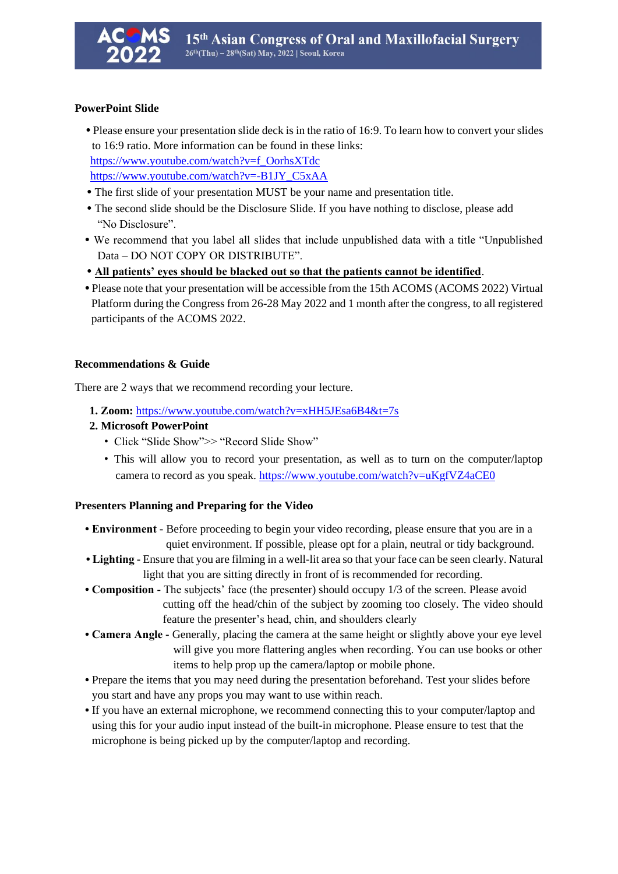# **PowerPoint Slide**

- Please ensure your presentation slide deck is in the ratio of 16:9. To learn how to convert your slides to 16:9 ratio. More information can be found in these links: [https://www.youtube.com/watch?v=f\\_OorhsXTdc](https://www.youtube.com/watch?v=f_OorhsXTdc) [https://www.youtube.com/watch?v=-B1JY\\_C5xAA](https://www.youtube.com/watch?v=-B1JY_C5xAA)
- The first slide of your presentation MUST be your name and presentation title.
- The second slide should be the Disclosure Slide. If you have nothing to disclose, please add "No Disclosure".
- We recommend that you label all slides that include unpublished data with a title "Unpublished Data – DO NOT COPY OR DISTRIBUTE".
- **All patients' eyes should be blacked out so that the patients cannot be identified**.
- **•** Please note that your presentation will be accessible from the 15th ACOMS (ACOMS 2022) Virtual Platform during the Congress from 26-28 May 2022 and 1 month after the congress, to all registered participants of the ACOMS 2022.

# **Recommendations & Guide**

There are 2 ways that we recommend recording your lecture.

- **1. Zoom:** <https://www.youtube.com/watch?v=xHH5JEsa6B4&t=7s>
- **2. Microsoft PowerPoint**
	- Click "Slide Show">> "Record Slide Show"
	- This will allow you to record your presentation, as well as to turn on the computer/laptop camera to record as you speak[. https://www.youtube.com/watch?v=uKgfVZ4aCE0](https://www.youtube.com/watch?v=uKgfVZ4aCE0)

#### **Presenters Planning and Preparing for the Video**

- **Environment -** Before proceeding to begin your video recording, please ensure that you are in a quiet environment. If possible, please opt for a plain, neutral or tidy background.
- **Lighting -** Ensure that you are filming in a well-lit area so that your face can be seen clearly. Natural light that you are sitting directly in front of is recommended for recording.
- **Composition -** The subjects' face (the presenter) should occupy 1/3 of the screen. Please avoid cutting off the head/chin of the subject by zooming too closely. The video should feature the presenter's head, chin, and shoulders clearly
- **Camera Angle -** Generally, placing the camera at the same height or slightly above your eye level will give you more flattering angles when recording. You can use books or other items to help prop up the camera/laptop or mobile phone.
- Prepare the items that you may need during the presentation beforehand. Test your slides before you start and have any props you may want to use within reach.
- If you have an external microphone, we recommend connecting this to your computer/laptop and using this for your audio input instead of the built-in microphone. Please ensure to test that the microphone is being picked up by the computer/laptop and recording.